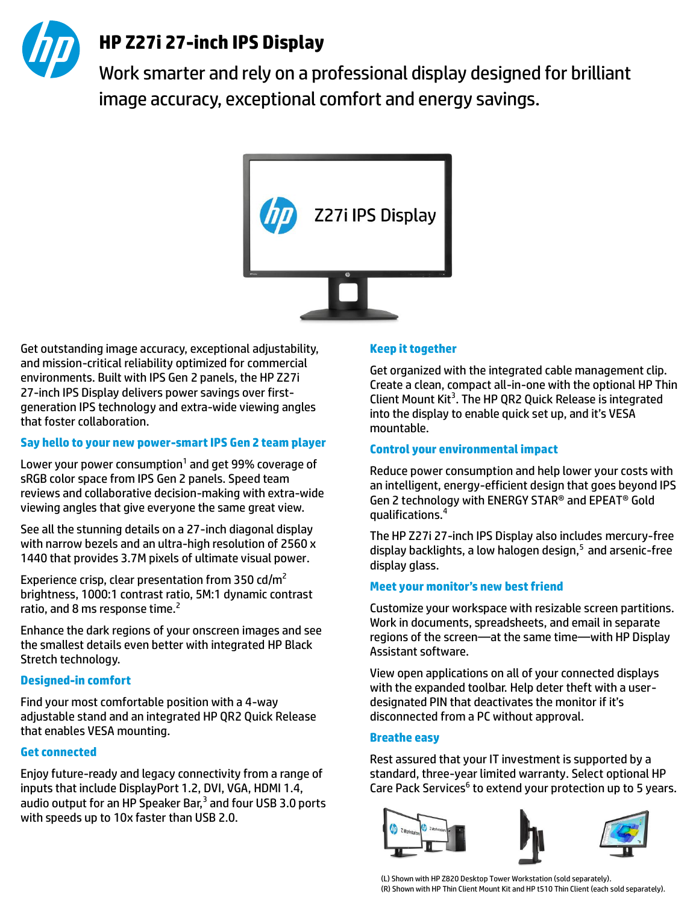

# **HP Z27i 27-inch IPS Display**

Work smarter and rely on a professional display designed for brilliant image accuracy, exceptional comfort and energy savings.



Get outstanding image accuracy, exceptional adjustability, and mission-critical reliability optimized for commercial environments. Built with IPS Gen 2 panels, the HP Z27i 27-inch IPS Display delivers power savings over firstgeneration IPS technology and extra-wide viewing angles that foster collaboration.

### **Say hello to your new power-smart IPS Gen 2 team player**

Lower your power consumption<sup>1</sup> and get 99% coverage of sRGB color space from IPS Gen 2 panels. Speed team reviews and collaborative decision-making with extra-wide viewing angles that give everyone the same great view.

See all the stunning details on a 27-inch diagonal display with narrow bezels and an ultra-high resolution of 2560 x 1440 that provides 3.7M pixels of ultimate visual power.

Experience crisp, clear presentation from 350  $\text{cd/m}^2$ brightness, 1000:1 contrast ratio, 5M:1 dynamic contrast ratio, and 8 ms response time.<sup>2</sup>

Enhance the dark regions of your onscreen images and see the smallest details even better with integrated HP Black Stretch technology.

### **Designed-in comfort**

Find your most comfortable position with a 4-way adjustable stand and an integrated HP QR2 Quick Release that enables VESA mounting.

### **Get connected**

Enjoy future-ready and legacy connectivity from a range of inputs that include DisplayPort 1.2, DVI, VGA, HDMI 1.4, audio output for an HP Speaker Bar,<sup>3</sup> and four USB 3.0 ports with speeds up to 10x faster than USB 2.0.

### **Keep it together**

Get organized with the integrated cable management clip. Create a clean, compact all-in-one with the optional HP Thin Client Mount Kit<sup>3</sup>. The HP QR2 Quick Release is integrated into the display to enable quick set up, and it's VESA mountable.

#### **Control your environmental impact**

Reduce power consumption and help lower your costs with an intelligent, energy-efficient design that goes beyond IPS Gen 2 technology with ENERGY STAR® and EPEAT® Gold qualifications.<sup>4</sup>

The HP Z27i 27-inch IPS Display also includes mercury-free display backlights, a low halogen design, $5$  and arsenic-free display glass.

### **Meet your monitor's new best friend**

Customize your workspace with resizable screen partitions. Work in documents, spreadsheets, and email in separate regions of the screen—at the same time—with HP Display Assistant software.

View open applications on all of your connected displays with the expanded toolbar. Help deter theft with a userdesignated PIN that deactivates the monitor if it's disconnected from a PC without approval.

### **Breathe easy**

Rest assured that your IT investment is supported by a standard, three-year limited warranty. Select optional HP Care Pack Services<sup>6</sup> to extend your protection up to 5 years.



(L) Shown with HP Z820 Desktop Tower Workstation (sold separately). (R) Shown with HP Thin Client Mount Kit and HP t510 Thin Client (each sold separately).